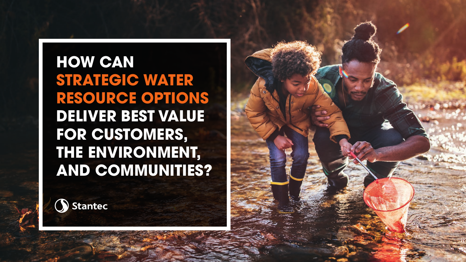**HOW CAN STRATEGIC WATER RESOURCE OPTIONS DELIVER BEST VALUE FOR CUSTOMERS, THE ENVIRONMENT, AND COMMUNITIES?**



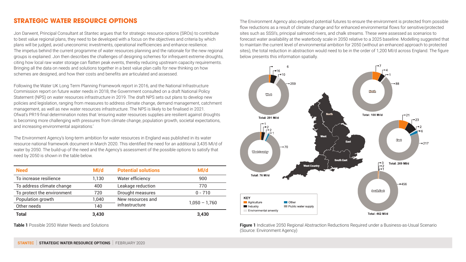## **STRATEGIC WATER RESOURCE OPTIONS**

Jon Darwent, Principal Consultant at Stantec argues that for strategic resource options (SROs) to contribute to best value regional plans, they need to be developed with a focus on the objectives and criteria by which plans will be judged, avoid uneconomic investments, operational inefficiencies and enhance resilience. The impetus behind the current programme of water resources planning and the rationale for the new regional groups is explained. Jon then describes the challenges of designing schemes for infrequent extreme droughts, citing how local raw water storage can flatten peak events, thereby reducing upstream capacity requirements. Bringing all the data on needs and solutions together in a best value plan calls for new thinking on how schemes are designed, and how their costs and benefits are articulated and assessed.

Following the Water UK Long Term Planning Framework report in 2016, and the National Infrastructure Commission report on future water needs in 2018, the Government consulted on a draft National Policy Statement (NPS) on water resources infrastructure in 2019. The draft NPS sets out plans to develop new policies and legislation, ranging from measures to address climate change, demand management, catchment management, as well as new water resources infrastructure. The NPS is likely to be finalised in 2021. Ofwat's PR19 final determination notes that 'ensuring water resources supplies are resilient against droughts is becoming more challenging with pressures from climate change, population growth, societal expectations, and increasing environmental aspirations.'

The Environment Agency's long-term ambition for water resources in England was published in its water resource national framework document in March 2020. This identified the need for an additional 3,435 Ml/d of water by 2050. The build-up of the need and the Agency's assessment of the possible options to satisfy that need by 2050 is shown in the table below.

| <b>Need</b>                | Ml/d  | <b>Potential solutions</b>          | Ml/d            |
|----------------------------|-------|-------------------------------------|-----------------|
| To increase resilience     | 1.130 | Water efficiency                    | 900             |
| To address climate change  | 400   | Leakage reduction                   | 770             |
| To protect the environment | 720   | Drought measures                    | $0 - 710$       |
| Population growth          | 1.040 | New resources and<br>infrastructure | $1,050 - 1,760$ |
| Other needs                | 140   |                                     |                 |
| <b>Total</b>               | 3,430 |                                     | 3,430           |

The Environment Agency also explored potential futures to ensure the environment is protected from possible flow reductions as a result of climate change and for enhanced environmental flows for sensitive/protected sites such as SSSI's, principal salmonid rivers, and chalk streams. These were assessed as scenarios to forecast water availability at the waterbody scale in 2050 relative to a 2025 baseline. Modelling suggested that to maintain the current level of environmental ambition for 2050 (without an enhanced approach to protected sites), the total reduction in abstraction would need to be in the order of 1,200 Ml/d across England. The figure below presents this information spatially.



**Table 1** Possible 2050 Water Needs and Solutions **Figure 1** Indicative 2050 Regional Abstraction Reductions Required under a Business-as-Usual Scenario (Source: Environment Agency)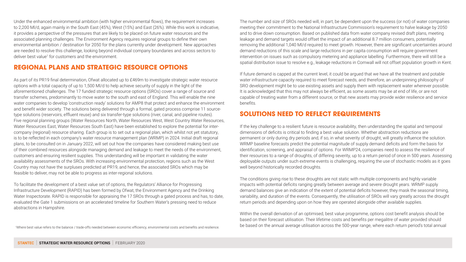Under the enhanced environmental ambition (with higher environmental flows), the requirement increases to 2,200 Ml/d, again mainly in the South East (45%), West (15%) and East (26%). While this work is indicative, it provides a perspective of the pressures that are likely to be placed on future water resources and the associated planning challenges. The Environment Agency requires regional groups to define their own environmental ambition / destination for 2050 for the plans currently under development. New approaches are needed to resolve this challenge, looking beyond individual company boundaries and across sectors to deliver best value<sup>1</sup> for customers and the environment.

## **REGIONAL PLANS AND STRATEGIC RESOURCE OPTIONS**

As part of its PR19 final determination, Ofwat allocated up to £469m to investigate strategic water resource options with a total capacity of up to 1,500 Ml/d to help achieve security of supply in the light of the aforementioned challenges. The 17 funded strategic resource options (SROs) cover a range of source and transfer schemes, predominantly to move water to the south and east of England. This will enable the nine water companies to develop 'construction ready' solutions for AMP8 that protect and enhance the environment and benefit wider society. The solutions being delivered through a formal, gated process comprise 11 sourcetype solutions (reservoirs, effluent reuse) and six transfer-type solutions (river, canal, and pipeline routes). Five regional planning groups (Water Resources North, Water Resources West, West Country Water Resources, Water Resources East, Water Resources South East) have been established to explore the potential for intercompany (regional) resource sharing. Each group is to set out a regional plan, which whilst not yet statutory, is to be reflected in each company's water resource management plan (WRMP) in 2024. Initial draft regional plans, to be consulted on in January 2022, will set out how the companies have considered making best use of their combined resources alongside managing demand and leakage to meet the needs of the environment, customers and ensuring resilient supplies. This understanding will be important in validating the water availability assessments of the SROs. With increasing environmental protection, regions such as the West Country may not have the surpluses predicted at PR19, and hence, the associated SROs which may be feasible to deliver, may not be able to progress as inter-regional solutions.

To facilitate the development of a best value set of options, the Regulators' Alliance for Progressing Infrastructure Development (RAPID) has been formed by Ofwat, the Environment Agency and the Drinking Water Inspectorate. RAPID is responsible for appraising the 17 SROs through a gated process and has, to date, evaluated the Gate 1 submissions on an accelerated timeline for Southern Water's pressing need to reduce abstractions in Hampshire.

Where best value refers to the balance / trade-offs needed between economic efficiency, environmental costs and benefits and resilience.

The number and size of SROs needed will, in part, be dependent upon the success (or not) of water companies meeting their commitment to the National Infrastructure Commission's requirement to halve leakage by 2050 and to drive down consumption. Based on published data from water company revised draft plans, meeting leakage and demand targets would offset the impact of an additional 8.7 million consumers, potentially removing the additional 1,040 Ml/d required to meet growth. However, there are significant uncertainties around demand reductions of this scale and large reductions in per capita consumption will require government intervention on issues such as compulsory metering and appliance labelling. Furthermore, there will still be a spatial distribution issue to resolve e.g., leakage reductions in Cornwall will not offset population growth in Kent.

If future demand is capped at the current level, it could be argued that we have all the treatment and potable water infrastructure capacity required to meet forecast needs, and therefore, an underpinning philosophy of SRO development might be to use existing assets and supply them with replacement water wherever possible. It is acknowledged that this may not always be efficient, as some assets may be at end of life, or are not capable of treating water from a different source, or that new assets may provide wider resilience and service benefits.

## **SOLUTIONS NEED TO REFLECT REQUIREMENTS**

If the key challenge to a resilient future is resource availability, then understanding the spatial and temporal dimensions of deficits is critical to finding a best value solution. Whether abstraction reductions are permanent or only during dry periods and, if so, in what severity of drought, will greatly influence the solution. WRMP baseline forecasts predict the potential magnitude of supply demand deficits and form the basis for identification, screening, and appraisal of options. For WRMP24, companies need to assess the resilience of their resources to a range of droughts, of differing severity, up to a return period of once in 500 years. Assessing deployable outputs under such extreme events is challenging, requiring the use of stochastic models as it goes well beyond historically recorded droughts.

The conditions giving rise to these droughts are not static with multiple components and highly variable impacts with potential deficits ranging greatly between average and severe drought years. WRMP supply demand balances give an indication of the extent of potential deficits however, they mask the seasonal timing, variability, and duration of the events. Consequently, the utilisation of SROs will vary greatly across the drought return periods and depending upon on how they are operated alongside other available supplies.

Within the overall derivation of an optimised, best value programme, options cost benefit analysis should be based on their forecast utilisation. Their lifetime costs and benefits per megalitre of water provided should be based on the annual average utilisation across the 500-year range, where each return period's total annual 1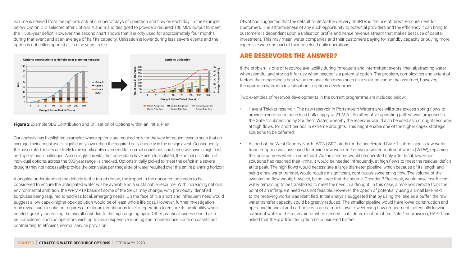volume is derived from the option's actual number of days of operation and flow on each day. In the example below, Option C is selected after Options A and B and designed to provide a required 100 Ml/d output to meet the 1:500-year deficit. However, the second chart shows that it is only used for approximately four months during that event and at an average of half its capacity. Utilisation is lower during less severe events and the option is not called upon at all in nine years in ten.



#### **Figure 2** Example SDB Contribution and Utilisation of Options within an Initial Plan

Our analysis has highlighted examples where options are required only for the very infrequent events such that on average, their annual use is significantly lower than the required daily capacity in the design event. Consequently, the associated assets are likely to be significantly oversized for normal conditions and hence will have a high cost and operational challenges. Accordingly, it is vital that once plans have been formulated, the actual utilisation of individual options, across the 500-year range, is checked. Options initially picked to meet the deficit in a severe drought may not necessarily provide the best value per megalitre of water required over the entire planning horizon.

Alongside understanding the deficits in the target region, the impact in the donor region needs to be considered to ensure the anticipated water will be available as a sustainable resource. With increasing national environmental ambition, the WRMP19 basis of some of the SROs may change, with previously identified surpluses being required to address local, emerging needs. On the face of it, a short and infrequent need would suggest a low capex/higher opex solution would be of least whole life cost. However, further investigation may reveal such a solution requires a minimum, continuous level of operation to ensure its availability when needed, greatly increasing the overall cost due to the high ongoing opex. Other practical issues should also be considered, such as operators wishing to avoid expensive running and maintenance costs on assets not contributing to efficient, normal service provision.

Ofwat has suggested that the default route for the delivery of SROs is the use of Direct Procurement for Customers. The attractiveness of any such opportunity to potential providers and the efficiency it can bring to customers is dependent upon a utilisation profile and hence revenue stream that makes best use of capital investment. This may mean water companies and their customers paying for standby capacity or buying more expensive water as part of their baseload daily operations.

### **ARE RESERVOIRS THE ANSWER?**

If the problem is one of resource availability during infrequent and intermittent events, then abstracting water when plentiful and storing it for use when needed is a potential option. The problem, complexities and extent of factors that determine a best value regional plan mean such as a solution cannot be assumed, however, the approach warrants investigation in options development.

Two examples of reservoir developments in the current programme are included below:

- Havant Thicket reservoir. The new reservoir in Portsmouth Water's area will store excess spring flows to provide a year-round base load bulk supply of 21 Ml/d. An alternative operating pattern was proposed in the Gate 1 submission by Southern Water, whereby the reservoir would also be used as a drought resource, at high flows, for short periods in extreme droughts. This might enable one of the higher capex strategic solutions to be deferred.
- As part of the West Country North (WCN) SRO study for the accelerated Gate 1 submission, a raw water transfer option was assessed to provide raw water to Testwood water treatment works (WTW), replacing the local sources when in constraint. As the scheme would be operated only after local, lower-cost solutions had reached their limits, it would be needed infrequently, at high flows to meet the residual deficit at its peak. The high flows would necessitate a large diameter pipeline, which because of its length and being a raw water transfer, would require a significant, continuous sweetening flow. The volume of the sweetening flow would, however, be so large that the source, Cheddar 2 Reservoir, would have insufficient water remaining to be transferred to meet the need in a drought. In this case, a reservoir remote from the point of an infrequent need was not feasible. However, the option of potentially using a small lake next to the receiving works was identified. Initial analysis suggested that by using the lake as a buffer, the raw water transfer capacity could be greatly reduced. The smaller pipeline would have lower construction and operating financial and carbon costs and a much lower sweetening flow requirement, potentially leaving sufficient water in the reservoir for when needed. In its determination of the Gate 1 submission, RAPID has asked that the raw transfer option be considered further.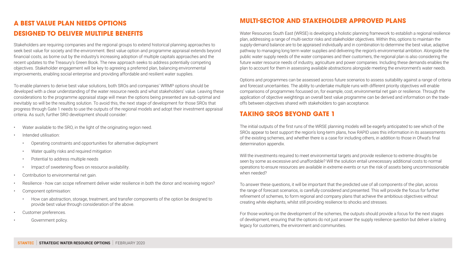## **A BEST VALUE PLAN NEEDS OPTIONS DESIGNED TO DELIVER MULTIPLE BENEFITS**

Stakeholders are requiring companies and the regional groups to extend historical planning approaches to seek best value for society and the environment. Best value option and programme appraisal extends beyond financial costs, as borne out by the industry's increasing adoption of multiple capitals approaches and the recent updates to the Treasury's Green Book. The new approach seeks to address potentially competing objectives. Stakeholder engagement will be key to agreeing a preferred plan, balancing environmental improvements, enabling social enterprise and providing affordable and resilient water supplies.

To enable planners to derive best value solutions, both SROs and companies' WRMP options should be developed with a clear understanding of the water resource needs and what stakeholders' value. Leaving these considerations to the programme appraisal stage will mean the options being presented are sub-optimal and inevitably so will be the resulting solution. To avoid this, the next stage of development for those SROs that progress through Gate 1 needs to use the outputs of the regional models and adopt their investment appraisal criteria. As such, further SRO development should consider:

- Water available to the SRO, in the light of the originating region need.
- Intended utilisation:
	- Operating constraints and opportunities for alternative deployment
	- Water quality risks and required mitigation
	- Potential to address multiple needs
	- Impact of sweetening flows on resource availability.
- Contribution to environmental net gain.
- Resilience how can scope refinement deliver wider resilience in both the donor and receiving region?
- Component optimisation:
	- How can abstraction, storage, treatment, and transfer components of the option be designed to provide best value through consideration of the above.
- Customer preferences.
- Government policy.

## **MULTI-SECTOR AND STAKEHOLDER APPROVED PLANS**

Water Resources South East (WRSE) is developing a holistic planning framework to establish a regional resilience plan, addressing a range of multi-sector risks and stakeholder objectives. Within this, options to maintain the supply-demand balance are to be appraised individually and in combination to determine the best value, adaptive pathway to managing long term water supplies and delivering the region's environmental ambition. Alongside the public water supply needs of the water companies and their customers, the regional plan is also considering the future water resource needs of industry, agriculture and power companies. Including these demands enables the plan to account for them in assessing available abstractions alongside meeting the environment's water needs.

Options and programmes can be assessed across future scenarios to assess suitability against a range of criteria and forecast uncertainties. The ability to undertake multiple runs with different priority objectives will enable comparisons of programmes focussed on, for example, cost, environmental net gain or resilience. Through the application of objective weightings an overall best value programme can be derived and information on the tradeoffs between objectives shared with stakeholders to gain acceptance.

## **TAKING SROS BEYOND GATE 1**

The initial outputs of the first runs of the WRSE planning models will be eagerly anticipated to see which of the SROs appear to best support the region's long-term plans, how RAPID uses this information in its assessments of the existing schemes, and whether there is a case for including others, in addition to those in Ofwat's final determination appendix.

Will the investments required to meet environmental targets and provide resilience to extreme droughts be seen by some as excessive and unaffordable? Will the solution entail unnecessary additional costs to normal operations to ensure resources are available in extreme events or run the risk of assets being uncommissionable when needed?

To answer these questions, it will be important that the predicted use of all components of the plan, across the range of forecast scenarios, is carefully considered and presented. This will provide the focus for further refinement of schemes, to form regional and company plans that achieve the ambitious objectives without creating white elephants, whilst still providing resilience to shocks and stresses.

For those working on the development of the schemes, the outputs should provide a focus for the next stages of development, ensuring that the options do not just answer the supply resilience question but deliver a lasting legacy for customers, the environment and communities.